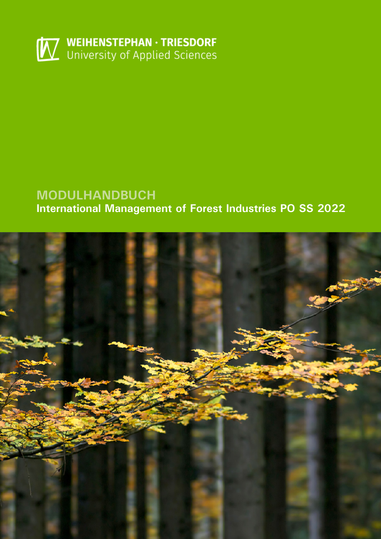

# **MODULHANDBUCH International Management of Forest Industries PO SS 2022**

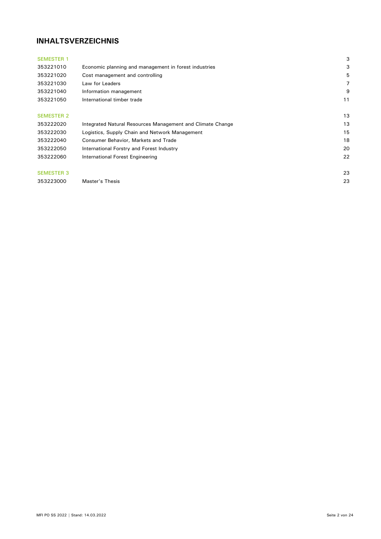# **INHALTSVERZEICHNIS**

| <b>SEMESTER 1</b> |                                                            | 3  |
|-------------------|------------------------------------------------------------|----|
| 353221010         | Economic planning and management in forest industries      | 3  |
| 353221020         | Cost management and controlling                            | 5  |
| 353221030         | Law for Leaders                                            | 7  |
| 353221040         | Information management                                     | 9  |
| 353221050         | International timber trade                                 | 11 |
|                   |                                                            |    |
| <b>SEMESTER 2</b> |                                                            | 13 |
| 353222020         | Integrated Natural Resources Management and Climate Change | 13 |
| 353222030         | Logistics, Supply Chain and Network Management             | 15 |
| 353222040         | Consumer Behavior, Markets and Trade                       | 18 |
| 353222050         | International Forstry and Forest Industry                  | 20 |
| 353222060         | International Forest Engineering                           | 22 |
|                   |                                                            |    |
| <b>SEMESTER 3</b> |                                                            | 23 |
| 353223000         | Master's Thesis                                            | 23 |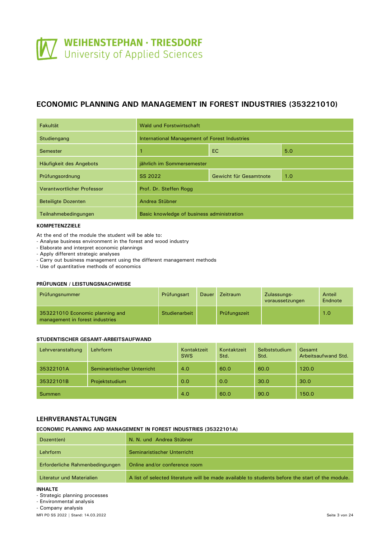# <span id="page-2-0"></span>**ECONOMIC PLANNING AND MANAGEMENT IN FOREST INDUSTRIES (353221010)**

| Fakultät                   | Wald und Forstwirtschaft                      |  |  |  |  |
|----------------------------|-----------------------------------------------|--|--|--|--|
| Studiengang                | International Management of Forest Industries |  |  |  |  |
| Semester                   | 5.0<br><b>EC</b>                              |  |  |  |  |
| Häufigkeit des Angebots    | jährlich im Sommersemester                    |  |  |  |  |
| Prüfungsordnung            | SS 2022<br>1.0<br>Gewicht für Gesamtnote      |  |  |  |  |
| Verantwortlicher Professor | Prof. Dr. Steffen Rogg                        |  |  |  |  |
| <b>Beteiligte Dozenten</b> | Andrea Stübner                                |  |  |  |  |
| Teilnahmebedingungen       | Basic knowledge of business administration    |  |  |  |  |

#### **KOMPETENZZIELE**

At the end of the module the student will be able to:

- Analyse business environment in the forest and wood industry
- Elaborate and interpret economic plannings
- Apply different strategic analyses
- Carry out business management using the different management methods
- Use of quantitative methods of economics

#### **PRÜFUNGEN / LEISTUNGSNACHWEISE**

| Prüfungsnummer                                                     | Prüfungsart   | <b>Dauer</b> | <b>Zeitraum</b> | Zulassungs-<br>voraussetzungen | Anteil<br>Endnote |
|--------------------------------------------------------------------|---------------|--------------|-----------------|--------------------------------|-------------------|
| 353221010 Economic planning and<br>management in forest industries | Studienarbeit |              | Prüfungszeit    |                                | 1.0               |

#### **STUDENTISCHER GESAMT-ARBEITSAUFWAND**

| Lehrveranstaltung | Lehrform                    | Kontaktzeit<br><b>SWS</b> | Kontaktzeit<br>Std. | Selbststudium<br>Std. | Gesamt<br>Arbeitsaufwand Std. |
|-------------------|-----------------------------|---------------------------|---------------------|-----------------------|-------------------------------|
| 35322101A         | Seminaristischer Unterricht | 4.0                       | 60.0                | 60.0                  | 120.0                         |
| 35322101B         | Projektstudium              | 0.0                       | 0.0                 | 30.0                  | 30.0                          |
| Summen            |                             | 4.0                       | 60.0                | 90.0                  | 150.0                         |

# **LEHRVERANSTALTUNGEN**

#### **ECONOMIC PLANNING AND MANAGEMENT IN FOREST INDUSTRIES (35322101A)**

| Dozent(en)                      | N. N. und Andrea Stübner                                                                         |
|---------------------------------|--------------------------------------------------------------------------------------------------|
| Lehrform                        | Seminaristischer Unterricht                                                                      |
| Erforderliche Rahmenbedingungen | Online and/or conference room                                                                    |
| Literatur und Materialien       | A list of selected literature will be made available to students before the start of the module. |

#### **INHALTE**

- Strategic planning processes

- Environmental analysis

- Company analysis

MFI PO SS 2022 | Stand: 14.03.2022 Seite 3 von 24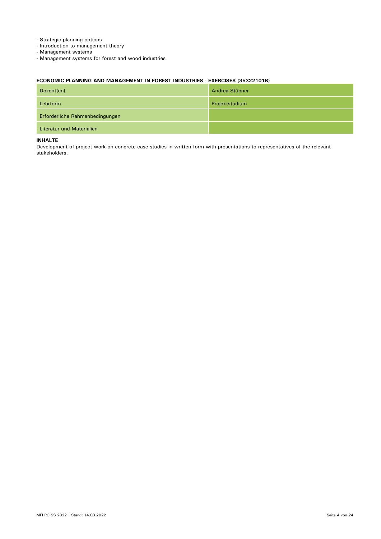- Strategic planning options
- Introduction to management theory
- Management systems
- Management systems for forest and wood industries

## **ECONOMIC PLANNING AND MANAGEMENT IN FOREST INDUSTRIES - EXERCISES (35322101B)**

| Dozent(en)                      | Andrea Stübner |
|---------------------------------|----------------|
| Lehrform                        | Projektstudium |
| Erforderliche Rahmenbedingungen |                |
| Literatur und Materialien       |                |

#### **INHALTE**

Development of project work on concrete case studies in written form with presentations to representatives of the relevant stakeholders.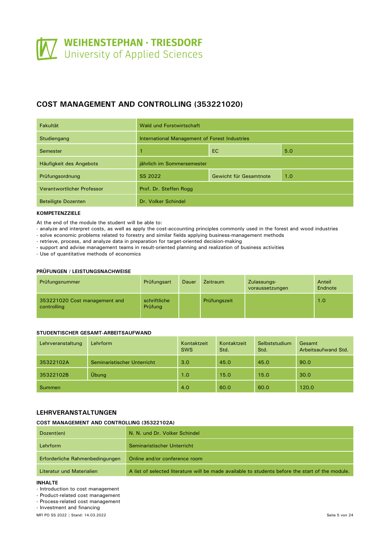# <span id="page-4-0"></span>**COST MANAGEMENT AND CONTROLLING (353221020)**

| Fakultät                   | Wald und Forstwirtschaft                      |     |     |  |
|----------------------------|-----------------------------------------------|-----|-----|--|
| Studiengang                | International Management of Forest Industries |     |     |  |
| Semester                   | 1                                             | 5.0 |     |  |
| Häufigkeit des Angebots    | jährlich im Sommersemester                    |     |     |  |
| Prüfungsordnung            | SS 2022<br>Gewicht für Gesamtnote             |     | 1.0 |  |
| Verantwortlicher Professor | Prof. Dr. Steffen Rogg                        |     |     |  |
| <b>Beteiligte Dozenten</b> | Dr. Volker Schindel                           |     |     |  |

# **KOMPETENZZIELE**

At the end of the module the student will be able to:

- analyze and interpret costs, as well as apply the cost-accounting principles commonly used in the forest and wood industries

- solve economic problems related to forestry and similar fields applying business-management methods
- retrieve, process, and analyze data in preparation for target-oriented decision-making
- support and advise management teams in result-oriented planning and realization of business activities

- Use of quantitative methods of economics

#### **PRÜFUNGEN / LEISTUNGSNACHWEISE**

| Prüfungsnummer                               | Prüfungsart             | Dauer | <b>Zeitraum</b> | Zulassungs-<br>voraussetzungen | Anteil<br>Endnote |
|----------------------------------------------|-------------------------|-------|-----------------|--------------------------------|-------------------|
| 353221020 Cost management and<br>controlling | schriftliche<br>Prüfung |       | Prüfungszeit    |                                | 1.0               |

### **STUDENTISCHER GESAMT-ARBEITSAUFWAND**

| Lehrveranstaltung | Lehrform                    | Kontaktzeit<br><b>SWS</b> | Kontaktzeit<br>Std. | Selbststudium<br>Std. | Gesamt<br>Arbeitsaufwand Std. |
|-------------------|-----------------------------|---------------------------|---------------------|-----------------------|-------------------------------|
| 35322102A         | Seminaristischer Unterricht | 3.0                       | 45.0                | 45.0                  | 90.0                          |
| 35322102B         | Übung                       | 1.0                       | 15.0                | 15.0                  | 30.0                          |
| <b>Summen</b>     |                             | 4.0                       | 60.0                | 60.0                  | 120.0                         |

## **LEHRVERANSTALTUNGEN**

#### **COST MANAGEMENT AND CONTROLLING (35322102A)**

| Dozent(en)                      | N. N. und Dr. Volker Schindel                                                                    |
|---------------------------------|--------------------------------------------------------------------------------------------------|
| Lehrform                        | Seminaristischer Unterricht                                                                      |
| Erforderliche Rahmenbedingungen | Online and/or conference room                                                                    |
| Literatur und Materialien       | A list of selected literature will be made available to students before the start of the module. |

#### **INHALTE**

- Introduction to cost management
- Product-related cost management
- Process-related cost management

- Investment and financing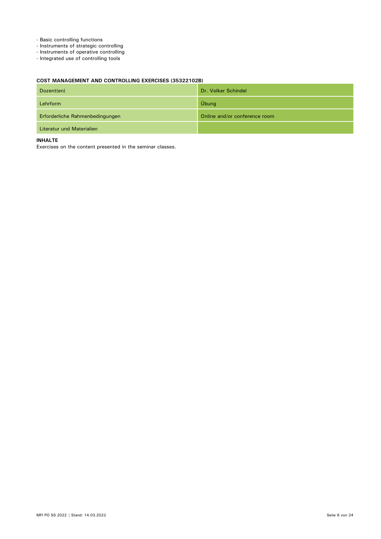- Basic controlling functions
- Instruments of strategic controlling
- Instruments of operative controlling
- Integrated use of controlling tools

# **COST MANAGEMENT AND CONTROLLING EXERCISES (35322102B)**

| Dozent(en)                      | Dr. Volker Schindel           |
|---------------------------------|-------------------------------|
| Lehrform                        | Übung                         |
| Erforderliche Rahmenbedingungen | Online and/or conference room |
| Literatur und Materialien       |                               |

#### **INHALTE**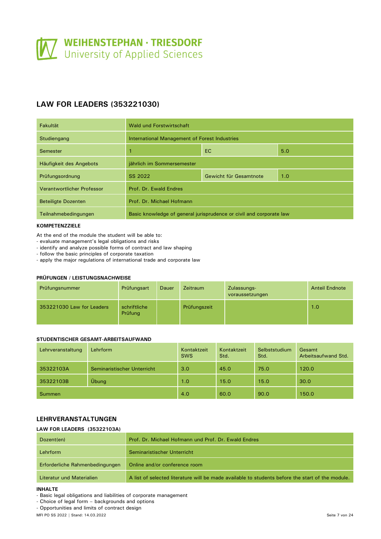# <span id="page-6-0"></span>**LAW FOR LEADERS (353221030)**

| Fakultät                   | Wald und Forstwirtschaft                                            |  |  |  |  |
|----------------------------|---------------------------------------------------------------------|--|--|--|--|
| Studiengang                | International Management of Forest Industries                       |  |  |  |  |
| Semester                   | EC.<br>5.0                                                          |  |  |  |  |
| Häufigkeit des Angebots    | jährlich im Sommersemester                                          |  |  |  |  |
| Prüfungsordnung            | SS 2022<br>1.0<br>Gewicht für Gesamtnote                            |  |  |  |  |
| Verantwortlicher Professor | Prof. Dr. Ewald Endres                                              |  |  |  |  |
| <b>Beteiligte Dozenten</b> | Prof. Dr. Michael Hofmann                                           |  |  |  |  |
| Teilnahmebedingungen       | Basic knowledge of general jurisprudence or civil and corporate law |  |  |  |  |

# **KOMPETENZZIELE**

At the end of the module the student will be able to:

- evaluate management's legal obligations and risks
- identify and analyze possible forms of contract and law shaping
- follow the basic principles of corporate taxation
- apply the major regulations of international trade and corporate law

#### **PRÜFUNGEN / LEISTUNGSNACHWEISE**

| Prüfungsnummer            | Prüfungsart             | Dauer | <b>Zeitraum</b> | Zulassungs-<br>voraussetzungen | <b>Anteil Endnote</b> |
|---------------------------|-------------------------|-------|-----------------|--------------------------------|-----------------------|
| 353221030 Law for Leaders | schriftliche<br>Prüfung |       | Prüfungszeit    |                                | 1.0                   |

## **STUDENTISCHER GESAMT-ARBEITSAUFWAND**

| Lehrveranstaltung | Lehrform                    | Kontaktzeit<br><b>SWS</b> | Kontaktzeit<br>Std. | Selbststudium<br>Std. | Gesamt<br>Arbeitsaufwand Std. |
|-------------------|-----------------------------|---------------------------|---------------------|-----------------------|-------------------------------|
| 35322103A         | Seminaristischer Unterricht | 3.0                       | 45.0                | 75.0                  | 120.0                         |
| 35322103B         | Übung                       | 1.0                       | 15.0                | 15.0                  | 30.0                          |
| <b>Summen</b>     |                             | 4.0                       | 60.0                | 90.0                  | 150.0                         |

# **LEHRVERANSTALTUNGEN**

#### **LAW FOR LEADERS (35322103A)**

| Dozent(en)                      | Prof. Dr. Michael Hofmann und Prof. Dr. Ewald Endres                                             |
|---------------------------------|--------------------------------------------------------------------------------------------------|
| Lehrform                        | Seminaristischer Unterricht                                                                      |
| Erforderliche Rahmenbedingungen | Online and/or conference room                                                                    |
| Literatur und Materialien       | A list of selected literature will be made available to students before the start of the module. |

#### **INHALTE**

- Basic legal obligations and liabilities of corporate management

- Choice of legal form – backgrounds and options

- Opportunities and limits of contract design

MFI PO SS 2022 | Stand: 14.03.2022 Seite 7 von 24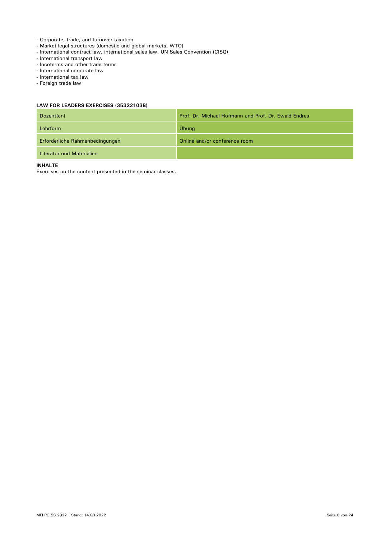- Corporate, trade, and turnover taxation
- Market legal structures (domestic and global markets, WTO)
- International contract law, international sales law, UN Sales Convention (CISG)
- International transport law
- Incoterms and other trade terms
- International corporate law
- International tax law
- Foreign trade law

## **LAW FOR LEADERS EXERCISES (35322103B)**

| Dozent(en)                      | Prof. Dr. Michael Hofmann und Prof. Dr. Ewald Endres |
|---------------------------------|------------------------------------------------------|
| Lehrform                        | Übung                                                |
| Erforderliche Rahmenbedingungen | Online and/or conference room                        |
| Literatur und Materialien       |                                                      |

#### **INHALTE**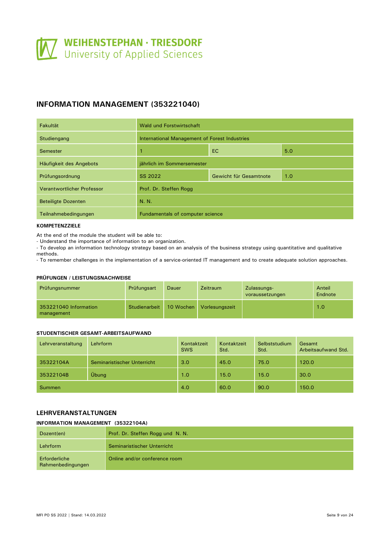# <span id="page-8-0"></span>**INFORMATION MANAGEMENT (353221040)**

| Fakultät                   | Wald und Forstwirtschaft                      |  |  |  |  |  |
|----------------------------|-----------------------------------------------|--|--|--|--|--|
| Studiengang                | International Management of Forest Industries |  |  |  |  |  |
| Semester                   | EC<br>5.0                                     |  |  |  |  |  |
| Häufigkeit des Angebots    | jährlich im Sommersemester                    |  |  |  |  |  |
| Prüfungsordnung            | SS 2022<br>1.0<br>Gewicht für Gesamtnote      |  |  |  |  |  |
| Verantwortlicher Professor | Prof. Dr. Steffen Rogg                        |  |  |  |  |  |
| <b>Beteiligte Dozenten</b> | N. N.                                         |  |  |  |  |  |
| Teilnahmebedingungen       | Fundamentals of computer science              |  |  |  |  |  |

#### **KOMPETENZZIELE**

At the end of the module the student will be able to:

- Understand the importance of information to an organization.

- To develop an information technology strategy based on an analysis of the business strategy using quantitative and qualitative methods.

- To remember challenges in the implementation of a service-oriented IT management and to create adequate solution approaches.

#### **PRÜFUNGEN / LEISTUNGSNACHWEISE**

| Prüfungsnummer                      | Prüfungsart   | Dauer     | Zeitraum       | Zulassungs-<br>voraussetzungen | Anteil<br>Endnote |
|-------------------------------------|---------------|-----------|----------------|--------------------------------|-------------------|
| 353221040 Information<br>management | Studienarbeit | 10 Wochen | Vorlesungszeit |                                | 1.0               |

# **STUDENTISCHER GESAMT-ARBEITSAUFWAND**

| Lehrveranstaltung | Lehrform                    | Kontaktzeit<br><b>SWS</b> | Kontaktzeit<br>Std. | <b>Selbststudium</b><br>Std. | Gesamt<br>Arbeitsaufwand Std. |
|-------------------|-----------------------------|---------------------------|---------------------|------------------------------|-------------------------------|
| 35322104A         | Seminaristischer Unterricht | 3.0                       | 45.0                | 75.0                         | 120.0                         |
| 35322104B         | Übung                       | 1.0                       | 15.0                | 15.0                         | 30.0                          |
| Summen            |                             | 4.0                       | 60.0                | 90.0                         | 150.0                         |

# **LEHRVERANSTALTUNGEN**

### **INFORMATION MANAGEMENT (35322104A)**

| Dozent(en)                         | Prof. Dr. Steffen Rogg und N. N. |
|------------------------------------|----------------------------------|
| Lehrform                           | Seminaristischer Unterricht      |
| Erforderliche<br>Rahmenbedingungen | Online and/or conference room    |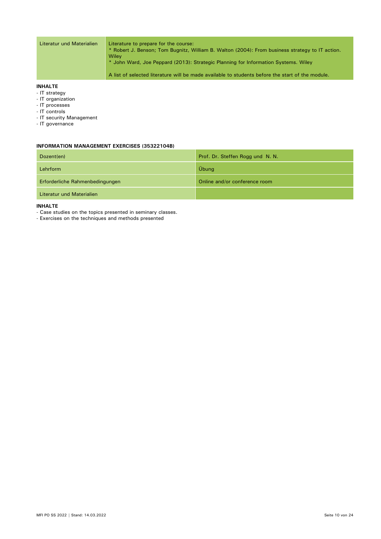| Literatur und Materialien | Literature to prepare for the course:<br>* Robert J. Benson; Tom Bugnitz, William B. Walton (2004): From business strategy to IT action.<br>Wilev<br>* John Ward, Joe Peppard (2013): Strategic Planning for Information Systems. Wiley |
|---------------------------|-----------------------------------------------------------------------------------------------------------------------------------------------------------------------------------------------------------------------------------------|
|                           | A list of selected literature will be made available to students before the start of the module.                                                                                                                                        |

#### **INHALTE**

- IT strategy
- IT organization
- IT processes
- IT controls
- IT security Management
- IT governance

#### **INFORMATION MANAGEMENT EXERCISES (35322104B)**

| Dozent(en)                      | Prof. Dr. Steffen Rogg und N. N. |
|---------------------------------|----------------------------------|
| Lehrform                        | Übung                            |
| Erforderliche Rahmenbedingungen | Online and/or conference room    |
| Literatur und Materialien       |                                  |

## **INHALTE**

- Case studies on the topics presented in seminary classes.

- Exercises on the techniques and methods presented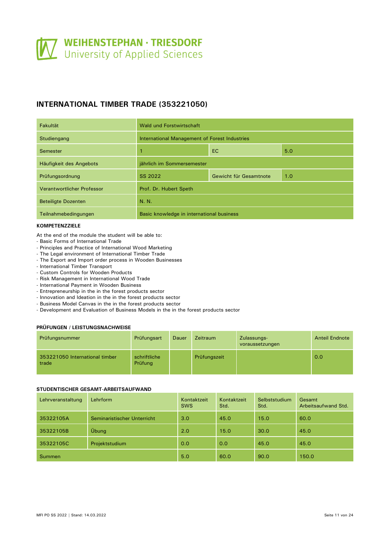# <span id="page-10-0"></span>**INTERNATIONAL TIMBER TRADE (353221050)**

| Fakultät                   | Wald und Forstwirtschaft                      |  |  |  |  |  |
|----------------------------|-----------------------------------------------|--|--|--|--|--|
| Studiengang                | International Management of Forest Industries |  |  |  |  |  |
| Semester                   | EC<br>5.0<br>1                                |  |  |  |  |  |
| Häufigkeit des Angebots    | jährlich im Sommersemester                    |  |  |  |  |  |
| Prüfungsordnung            | SS 2022<br>1.0<br>Gewicht für Gesamtnote      |  |  |  |  |  |
| Verantwortlicher Professor | Prof. Dr. Hubert Speth                        |  |  |  |  |  |
| <b>Beteiligte Dozenten</b> | N. N.                                         |  |  |  |  |  |
| Teilnahmebedingungen       | Basic knowledge in international business     |  |  |  |  |  |

# **KOMPETENZZIELE**

- At the end of the module the student will be able to:
- Basic Forms of International Trade
- Principles and Practice of International Wood Marketing
- The Legal environment of International Timber Trade
- The Export and Import order process in Wooden Businesses
- International Timber Transport
- Custom Controls for Wooden Products
- Risk Management in International Wood Trade
- International Payment in Wooden Business
- Entrepreneurship in the in the forest products sector
- Innovation and Ideation in the in the forest products sector
- Business Model Canvas in the in the forest products sector
- Development and Evaluation of Business Models in the in the forest products sector

### **PRÜFUNGEN / LEISTUNGSNACHWEISE**

| Prüfungsnummer                          | Prüfungsart             | Dauer | <b>Zeitraum</b> | Zulassungs-<br>voraussetzungen | <b>Anteil Endnote</b> |
|-----------------------------------------|-------------------------|-------|-----------------|--------------------------------|-----------------------|
| 353221050 International timber<br>trade | schriftliche<br>Prüfung |       | Prüfungszeit    |                                | 0.0                   |

#### **STUDENTISCHER GESAMT-ARBEITSAUFWAND**

| Lehrveranstaltung | Lehrform                    | Kontaktzeit<br><b>SWS</b> | Kontaktzeit<br>Std. | Selbststudium<br>Std. | Gesamt<br>Arbeitsaufwand Std. |
|-------------------|-----------------------------|---------------------------|---------------------|-----------------------|-------------------------------|
| 35322105A         | Seminaristischer Unterricht | 3.0                       | 45.0                | 15.0                  | 60.0                          |
| 35322105B         | Übung                       | 2.0                       | 15.0                | 30.0                  | 45.0                          |
| 35322105C         | Projektstudium              | 0.0                       | 0.0                 | 45.0                  | 45.0                          |
| <b>Summen</b>     |                             | 5.0                       | 60.0                | 90.0                  | 150.0                         |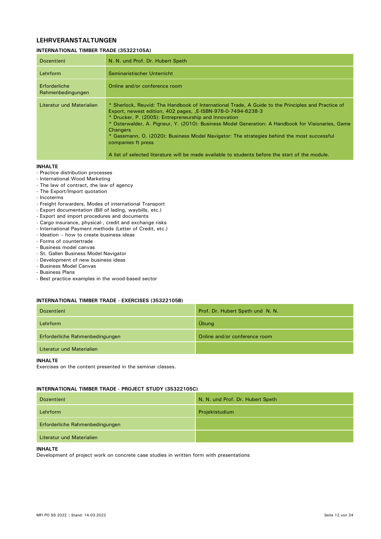# **LEHRVERANSTALTUNGEN**

#### **INTERNATIONAL TIMBER TRADE (35322105A)**

| Dozent(en)                         | N. N. und Prof. Dr. Hubert Speth                                                                                                                                                                                                                                                                                                                                                                                                                                                                                                                                           |
|------------------------------------|----------------------------------------------------------------------------------------------------------------------------------------------------------------------------------------------------------------------------------------------------------------------------------------------------------------------------------------------------------------------------------------------------------------------------------------------------------------------------------------------------------------------------------------------------------------------------|
| Lehrform                           | Seminaristischer Unterricht                                                                                                                                                                                                                                                                                                                                                                                                                                                                                                                                                |
| Erforderliche<br>Rahmenbedingungen | Online and/or conference room                                                                                                                                                                                                                                                                                                                                                                                                                                                                                                                                              |
| Literatur und Materialien          | * Sherlock, Reuvid: The Handbook of International Trade, A Guide to the Principles and Practice of<br>Export, newest edition, 402 pages, E-ISBN-978-0-7494-6238-3<br>* Drucker, P. (2005): Entrepreneurship and Innovation<br>* Osterwalder, A. Pigneur, Y. (2010): Business Model Generation: A Handbook for Visionaries, Game<br><b>Changers</b><br>* Gassmann, O. (2020): Business Model Navigator: The strategies behind the most successful<br>companies ft press<br>A list of selected literature will be made available to students before the start of the module. |

#### **INHALTE**

- Practice distribution processes
- International Wood Marketing
- The law of contract, the law of agency
- The Export/Import quotation
- Incoterms
- Freight forwarders, Modes of international Transport
- Export documentation (Bill of lading, waybills, etc.)
- Export and import procedures and documents
- Cargo insurance, physical-, credit and exchange risks
- International Payment methods (Letter of Credit, etc.)
- Ideation how to create business ideas
- Forms of countertrade
- Business model canvas
- St. Gallen Business Model Navigator
- Development of new business ideas
- Business Model Canvas
- Business Plans
- Best practice examples in the wood-based sector

#### **INTERNATIONAL TIMBER TRADE - EXERCISES (35322105B)**

| Dozent(en)                      | Prof. Dr. Hubert Speth und N. N. |
|---------------------------------|----------------------------------|
| Lehrform                        | Übung                            |
| Erforderliche Rahmenbedingungen | Online and/or conference room    |
| Literatur und Materialien       |                                  |

**INHALTE**

Exercises on the content presented in the seminar classes.

### **INTERNATIONAL TIMBER TRADE - PROJECT STUDY (35322105C)**

| Dozent(en)                      | N. N. und Prof. Dr. Hubert Speth |
|---------------------------------|----------------------------------|
| Lehrform                        | Projektstudium                   |
| Erforderliche Rahmenbedingungen |                                  |
| Literatur und Materialien       |                                  |

#### **INHALTE**

Development of project work on concrete case studies in written form with presentations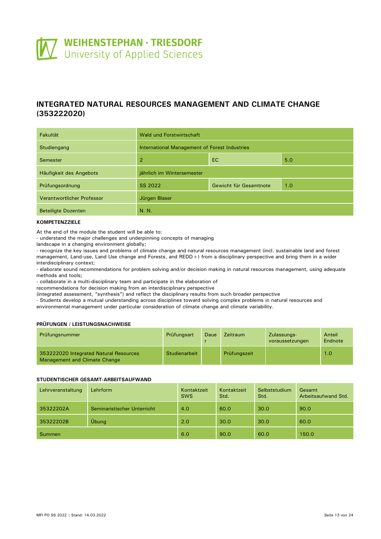<span id="page-12-0"></span>

# **INTEGRATED NATURAL RESOURCES MANAGEMENT AND CLIMATE CHANGE (353222020)**

| <b>Fakultät</b>            | Wald und Forstwirtschaft                      |                        |     |  |  |
|----------------------------|-----------------------------------------------|------------------------|-----|--|--|
| Studiengang                | International Management of Forest Industries |                        |     |  |  |
| Semester                   | $\overline{2}$                                | <b>EC</b>              | 5.0 |  |  |
| Häufigkeit des Angebots    | jährlich im Wintersemester                    |                        |     |  |  |
| Prüfungsordnung            | SS 2022                                       | Gewicht für Gesamtnote | 1.0 |  |  |
| Verantwortlicher Professor | Jürgen Blaser                                 |                        |     |  |  |
| <b>Beteiligte Dozenten</b> | N. N.                                         |                        |     |  |  |

#### **KOMPETENZZIELE**

At the end of the module the student will be able to:

- understand the major challenges and underpinning concepts of managing

landscape in a changing environment globally;

- recognize the key issues and problems of climate change and natural resources management (incl. sustainable land and forest management, Land-use, Land Use change and Forests, and REDD+) from a disciplinary perspective and bring them in a wider interdisciplinary context;

- elaborate sound recommendations for problem solving and/or decision making in natural resources management, using adequate methods and tools;

- collaborate in a multi-disciplinary team and participate in the elaboration of

recommendations for decision making from an interdisciplinary perspective

(integrated assessment, "synthesis") and reflect the disciplinary results from such broader perspective

- Students develop a mutual understanding across disciplines toward solving complex problems in natural resources and environmental management under particular consideration of climate change and climate variability.

### **PRÜFUNGEN / LEISTUNGSNACHWEISE**

| Prüfungsnummer                                                          | Prüfungsart   | Daue | Zeitraum     | Zulassungs-<br>voraussetzungen | Anteil<br>Endnote |
|-------------------------------------------------------------------------|---------------|------|--------------|--------------------------------|-------------------|
| 353222020 Integrated Natural Resources<br>Management and Climate Change | Studienarbeit |      | Prüfungszeit |                                | 1.0               |

#### **STUDENTISCHER GESAMT-ARBEITSAUFWAND**

| Lehrveranstaltung | Lehrform                    | Kontaktzeit<br><b>SWS</b> | Kontaktzeit<br>Std. | Selbststudium<br>Std. | Gesamt<br>Arbeitsaufwand Std. |
|-------------------|-----------------------------|---------------------------|---------------------|-----------------------|-------------------------------|
| 35322202A         | Seminaristischer Unterricht | 4.0                       | 60.0                | 30.0                  | 90.0                          |
| 35322202B         | Übung                       | 2.0                       | 30.0                | 30.0                  | 60.0                          |
| Summen            |                             | 6.0                       | 90.0                | 60.0                  | 150.0                         |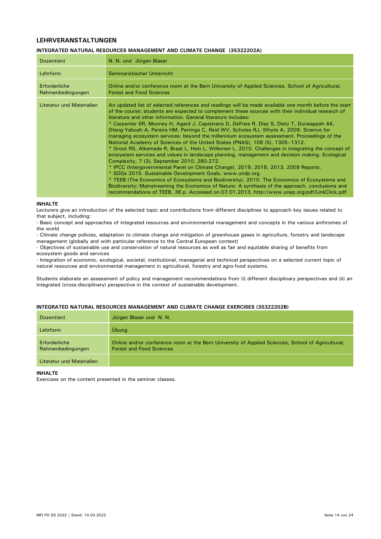# **LEHRVERANSTALTUNGEN**

#### **INTEGRATED NATURAL RESOURCES MANAGEMENT AND CLIMATE CHANGE (35322202A)**

| Dozent(en)                         | N. N. und Jürgen Blaser                                                                                                                                                                                                                                                                                                                                                                                                                                                                                                                                                                                                                                                                                                                                                                                                                                                                                                                                                                                                                                                                                                                                                                                                                                                                                                                                                  |
|------------------------------------|--------------------------------------------------------------------------------------------------------------------------------------------------------------------------------------------------------------------------------------------------------------------------------------------------------------------------------------------------------------------------------------------------------------------------------------------------------------------------------------------------------------------------------------------------------------------------------------------------------------------------------------------------------------------------------------------------------------------------------------------------------------------------------------------------------------------------------------------------------------------------------------------------------------------------------------------------------------------------------------------------------------------------------------------------------------------------------------------------------------------------------------------------------------------------------------------------------------------------------------------------------------------------------------------------------------------------------------------------------------------------|
| Lehrform                           | Seminaristischer Unterricht                                                                                                                                                                                                                                                                                                                                                                                                                                                                                                                                                                                                                                                                                                                                                                                                                                                                                                                                                                                                                                                                                                                                                                                                                                                                                                                                              |
| Erforderliche<br>Rahmenbedingungen | Online and/or conference room at the Bern University of Applied Sciences, School of Agricultural,<br><b>Forest and Food Sciences</b>                                                                                                                                                                                                                                                                                                                                                                                                                                                                                                                                                                                                                                                                                                                                                                                                                                                                                                                                                                                                                                                                                                                                                                                                                                     |
| Literatur und Materialien          | An updated list of selected references and readings will be made available one month before the start<br>of the course; students are expected to complement these sources with their individual research of<br>literature and other information. General literature includes:<br>* Carpenter SR, Mooney H, Agard J, Capistrano D, DeFries R, Diaz S, Dietz T, Duraiappah AK,<br>Oteng-Yeboah A, Pereira HM, Perrings C, Reid WV, Scholes RJ, Whyte A, 2009. Science for<br>managing ecosystem services: beyond the millennium ecosystem assessment. Proceedings of the<br>National Academy of Sciences of the United States (PNAS), 106 (5), 1305–1312.<br>* Groot RS, Alkemade R, Braat L, Hein L, Willemen L, 2010. Challenges in integrating the concept of<br>ecosystem services and values in landscape planning, management and decision making. Ecological<br>Complexity, 7 (3), September 2010, 260-272.<br>* IPCC (Intergovernmental Panel on Climate Change), 2019, 2018, 2013, 2009 Reports.<br>* SDGs 2015. Sustainable Development Goals. www.undp.org<br>* TEEB (The Economics of Ecosystems and Biodiversity), 2010. The Economics of Ecosystems and<br>Biodiversity: Mainstreaming the Economics of Nature: A synthesis of the approach, conclusions and<br>recommendations of TEEB, 36 p. Accessed on 07.01.2013, http://www.unep.org/pdf/LinkClick.pdf |

#### **INHALTE**

Lecturers give an introduction of the selected topic and contributions from different disciplines to approach key issues related to that subject, including:

- Basic concept and approaches of integrated resources and environmental management and concepts in the various anthromes of the world

- Climate change policies, adaptation to climate change and mitigation of greenhouse gases in agriculture, forestry and landscape management (globally and with particular reference to the Central European context)

- Objectives of sustainable use and conservation of natural resources as well as fair and equitable sharing of benefits from ecosystem goods and services

- Integration of economic, ecological, societal, institutional, managerial and technical perspectives on a selected current topic of natural resources and environmental management in agricultural, forestry and agro-food systems.

Students elaborate an assessment of policy and management recommendations from (i) different disciplinary perspectives and (ii) an integrated (cross-disciplinary) perspective in the context of sustainable development.

#### **INTEGRATED NATURAL RESOURCES MANAGEMENT AND CLIMATE CHANGE EXERCISES (35322202B)**

| Dozent(en)                         | Jürgen Blaser und N. N.                                                                                                              |
|------------------------------------|--------------------------------------------------------------------------------------------------------------------------------------|
| Lehrform                           | Übung                                                                                                                                |
| Erforderliche<br>Rahmenbedingungen | Online and/or conference room at the Bern University of Applied Sciences, School of Agricultural,<br><b>Forest and Food Sciences</b> |
| Literatur und Materialien          |                                                                                                                                      |

#### **INHALTE**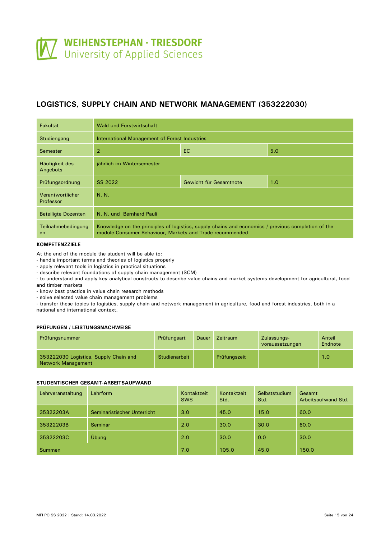# <span id="page-14-0"></span>**LOGISTICS, SUPPLY CHAIN AND NETWORK MANAGEMENT (353222030)**

| <b>Fakultät</b>               | Wald und Forstwirtschaft                                                                                                                                       |  |  |  |  |  |
|-------------------------------|----------------------------------------------------------------------------------------------------------------------------------------------------------------|--|--|--|--|--|
| Studiengang                   | International Management of Forest Industries                                                                                                                  |  |  |  |  |  |
| Semester                      | $\overline{2}$<br>EC.<br>5.0                                                                                                                                   |  |  |  |  |  |
| Häufigkeit des<br>Angebots    | jährlich im Wintersemester                                                                                                                                     |  |  |  |  |  |
| Prüfungsordnung               | 1.0<br>SS 2022<br>Gewicht für Gesamtnote                                                                                                                       |  |  |  |  |  |
| Verantwortlicher<br>Professor | N. N.                                                                                                                                                          |  |  |  |  |  |
| <b>Beteiligte Dozenten</b>    | N. N. und Bernhard Pauli                                                                                                                                       |  |  |  |  |  |
| Teilnahmebedingung<br>en      | Knowledge on the principles of logistics, supply chains and economics / previous completion of the<br>module Consumer Behaviour, Markets and Trade recommended |  |  |  |  |  |

#### **KOMPETENZZIELE**

At the end of the module the student will be able to:

- handle important terms and theories of logistics properly

- apply relevant tools in logistics in practical situations

- describe relevant foundations of supply chain management (SCM)

- to understand and apply key analytical constructs to describe value chains and market systems development for agricultural, food and timber markets

- know best practice in value chain research methods

- solve selected value chain management problems

- transfer these topics to logistics, supply chain and network management in agriculture, food and forest industries, both in a national and international context.

#### **PRÜFUNGEN / LEISTUNGSNACHWEISE**

| Prüfungsnummer                                                     | Prüfungsart   | Dauer | <b>Zeitraum</b> | Zulassungs-<br>voraussetzungen | Anteil<br>Endnote |
|--------------------------------------------------------------------|---------------|-------|-----------------|--------------------------------|-------------------|
| 353222030 Logistics, Supply Chain and<br><b>Network Management</b> | Studienarbeit |       | Prüfungszeit    |                                | 1.0               |

#### **STUDENTISCHER GESAMT-ARBEITSAUFWAND**

| Lehrveranstaltung | Lehrform                    | Kontaktzeit<br><b>SWS</b> | Kontaktzeit<br>Std. | Selbststudium<br>Std. | Gesamt<br>Arbeitsaufwand Std. |
|-------------------|-----------------------------|---------------------------|---------------------|-----------------------|-------------------------------|
| 35322203A         | Seminaristischer Unterricht | 3.0                       | 45.0                | 15.0                  | 60.0                          |
| 35322203B         | Seminar                     | 2.0                       | 30.0                | 30.0                  | 60.0                          |
| 35322203C         | Übung                       | 2.0                       | 30.0                | 0.0                   | 30.0                          |
| Summen            |                             | 7.0                       | 105.0               | 45.0                  | 150.0                         |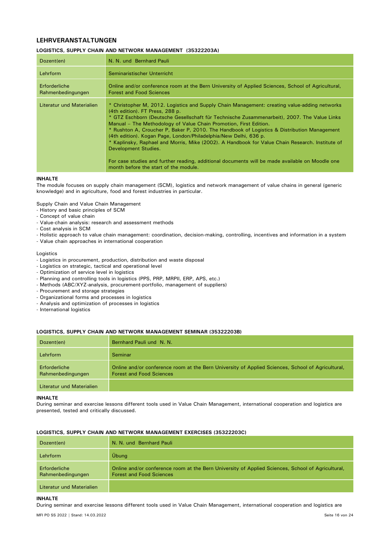# **LEHRVERANSTALTUNGEN**

#### **LOGISTICS, SUPPLY CHAIN AND NETWORK MANAGEMENT (35322203A)**

| Dozent(en)                         | N. N. und Bernhard Pauli                                                                                                                                                                                                                                                                                                                                                                                                                                                                                                                                                                                                                                                                                                                      |
|------------------------------------|-----------------------------------------------------------------------------------------------------------------------------------------------------------------------------------------------------------------------------------------------------------------------------------------------------------------------------------------------------------------------------------------------------------------------------------------------------------------------------------------------------------------------------------------------------------------------------------------------------------------------------------------------------------------------------------------------------------------------------------------------|
| Lehrform                           | Seminaristischer Unterricht                                                                                                                                                                                                                                                                                                                                                                                                                                                                                                                                                                                                                                                                                                                   |
| Erforderliche<br>Rahmenbedingungen | Online and/or conference room at the Bern University of Applied Sciences, School of Agricultural,<br><b>Forest and Food Sciences</b>                                                                                                                                                                                                                                                                                                                                                                                                                                                                                                                                                                                                          |
| Literatur und Materialien          | * Christopher M, 2012. Logistics and Supply Chain Management: creating value-adding networks<br>(4th edition). FT Press, 288 p.<br>* GTZ Eschborn (Deutsche Gesellschaft für Technische Zusammenarbeit), 2007. The Value Links<br>Manual – The Methodology of Value Chain Promotion, First Edition.<br>* Rushton A, Croucher P, Baker P, 2010. The Handbook of Logistics & Distribution Management<br>(4th edition). Kogan Page, London/Philadelphia/New Delhi, 636 p.<br>* Kaplinsky, Raphael and Morris, Mike (2002). A Handbook for Value Chain Research. Institute of<br>Development Studies.<br>For case studies and further reading, additional documents will be made available on Moodle one<br>month before the start of the module. |

#### **INHALTE**

The module focuses on supply chain management (SCM), logistics and network management of value chains in general (generic knowledge) and in agriculture, food and forest industries in particular.

Supply Chain and Value Chain Management

- History and basic principles of SCM
- Concept of value chain
- Value-chain analysis: research and assessment methods
- Cost analysis in SCM
- Holistic approach to value chain management: coordination, decision-making, controlling, incentives and information in a system
- Value chain approaches in international cooperation

Logistics

- Logistics in procurement, production, distribution and waste disposal
- Logistics on strategic, tactical and operational level
- Optimization of service level in logistics
- Planning and controlling tools in logistics (PPS, PRP, MRPII, ERP, APS, etc.)
- Methods (ABC/XYZ-analysis, procurement-portfolio, management of suppliers)
- Procurement and storage strategies
- Organizational forms and processes in logistics
- Analysis and optimization of processes in logistics
- International logistics

#### **LOGISTICS, SUPPLY CHAIN AND NETWORK MANAGEMENT SEMINAR (35322203B)**

| Dozent(en)                         | Bernhard Pauli und N. N.                                                                                                             |
|------------------------------------|--------------------------------------------------------------------------------------------------------------------------------------|
| Lehrform                           | Seminar                                                                                                                              |
| Erforderliche<br>Rahmenbedingungen | Online and/or conference room at the Bern University of Applied Sciences, School of Agricultural,<br><b>Forest and Food Sciences</b> |
| Literatur und Materialien          |                                                                                                                                      |

#### **INHALTE**

During seminar and exercise lessons different tools used in Value Chain Management, international cooperation and logistics are presented, tested and critically discussed.

| Dozent(en)                         | N. N. und Bernhard Pauli                                                                                                             |
|------------------------------------|--------------------------------------------------------------------------------------------------------------------------------------|
| Lehrform                           | Übung                                                                                                                                |
| Erforderliche<br>Rahmenbedingungen | Online and/or conference room at the Bern University of Applied Sciences, School of Agricultural,<br><b>Forest and Food Sciences</b> |
| Literatur und Materialien          |                                                                                                                                      |

#### **LOGISTICS, SUPPLY CHAIN AND NETWORK MANAGEMENT EXERCISES (35322203C)**

#### **INHALTE**

During seminar and exercise lessons different tools used in Value Chain Management, international cooperation and logistics are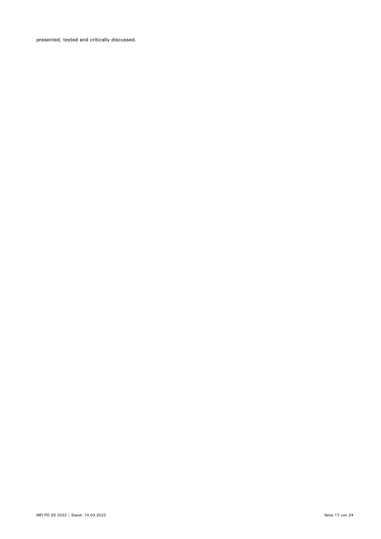presented, tested and critically discussed.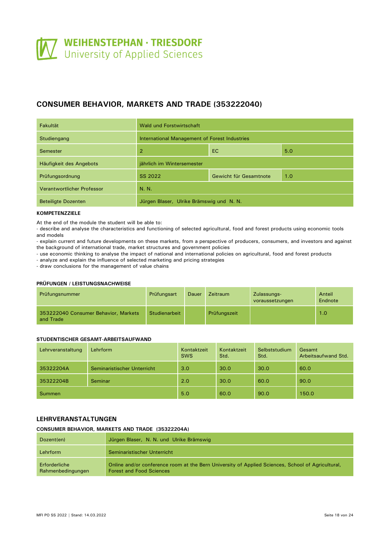# <span id="page-17-0"></span>**CONSUMER BEHAVIOR, MARKETS AND TRADE (353222040)**

| Fakultät                   | Wald und Forstwirtschaft                      |  |  |  |  |
|----------------------------|-----------------------------------------------|--|--|--|--|
| Studiengang                | International Management of Forest Industries |  |  |  |  |
| Semester                   | <b>EC</b><br>5.0<br>2                         |  |  |  |  |
| Häufigkeit des Angebots    | jährlich im Wintersemester                    |  |  |  |  |
| Prüfungsordnung            | SS 2022<br>1.0<br>Gewicht für Gesamtnote      |  |  |  |  |
| Verantwortlicher Professor | N. N.                                         |  |  |  |  |
| <b>Beteiligte Dozenten</b> | Jürgen Blaser, Ulrike Brämswig und N. N.      |  |  |  |  |

#### **KOMPETENZZIELE**

At the end of the module the student will be able to:

- describe and analyse the characteristics and functioning of selected agricultural, food and forest products using economic tools and models

- explain current and future developments on these markets, from a perspective of producers, consumers, and investors and against the background of international trade, market structures and government policies

- use economic thinking to analyse the impact of national and international policies on agricultural, food and forest products

- analyze and explain the influence of selected marketing and pricing strategies

- draw conclusions for the management of value chains

#### **PRÜFUNGEN / LEISTUNGSNACHWEISE**

| Prüfungsnummer                                    | <b>Prüfungsart</b> | Dauer | <b>Zeitraum</b> | Zulassungs-<br>voraussetzungen | Anteil<br>Endnote |
|---------------------------------------------------|--------------------|-------|-----------------|--------------------------------|-------------------|
| 353222040 Consumer Behavior, Markets<br>and Trade | Studienarbeit      |       | Prüfungszeit    |                                | 1.0               |

#### **STUDENTISCHER GESAMT-ARBEITSAUFWAND**

| Lehrveranstaltung | Lehrform                    | Kontaktzeit<br><b>SWS</b> | Kontaktzeit<br>Std. | Selbststudium<br>Std. | Gesamt<br>Arbeitsaufwand Std. |
|-------------------|-----------------------------|---------------------------|---------------------|-----------------------|-------------------------------|
| 35322204A         | Seminaristischer Unterricht | 3.0                       | 30.0                | 30.0                  | 60.0                          |
| 35322204B         | Seminar                     | 2.0                       | 30.0                | 60.0                  | 90.0                          |
| <b>Summen</b>     |                             | 5.0                       | 60.0                | 90.0                  | 150.0                         |

# **LEHRVERANSTALTUNGEN**

#### **CONSUMER BEHAVIOR, MARKETS AND TRADE (35322204A)**

| Dozent(en)                         | Jürgen Blaser, N. N. und Ulrike Brämswig                                                                                             |
|------------------------------------|--------------------------------------------------------------------------------------------------------------------------------------|
| Lehrform                           | Seminaristischer Unterricht                                                                                                          |
| Erforderliche<br>Rahmenbedingungen | Online and/or conference room at the Bern University of Applied Sciences, School of Agricultural,<br><b>Forest and Food Sciences</b> |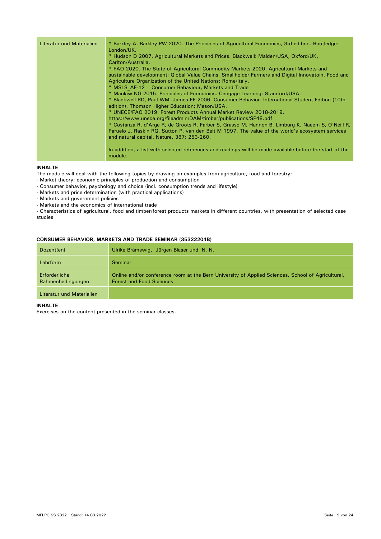| Literatur und Materialien | * Barkley A, Barkley PW 2020. The Principles of Agricultural Economics, 3rd edition. Routledge:<br>London/UK.<br>* Hudson D 2007. Agricultural Markets and Prices. Blackwell: Malden/USA, Oxford/UK,<br>Carlton/Australia.<br>* FAO 2020. The State of Agricultural Commodity Markets 2020. Agricultural Markets and<br>sustainable development: Global Value Chains, Smallholder Farmers and Digital Innovatoin. Food and<br>Agriculture Organization of the United Nations: Rome/Italy.<br>* MSLS AF-12 - Consumer Behaviour, Markets and Trade<br>* Mankiw NG 2015. Principles of Economics. Cengage Learning: Stamford/USA.<br>* Blackwell RD, Paul WM, James FE 2006. Consumer Behavior. International Student Edition (10th<br>edition), Thomson Higher Education: Mason/USA.<br>* UNECE/FAO 2019. Forest Products Annual Market Review 2018-2019.<br>https://www.unece.org/fileadmin/DAM/timber/publications/SP48.pdf<br>* Costanza R, d'Arge R, de Groots R, Farber S, Grasso M, Hannon B, Limburg K, Naeem S, O'Neill R,<br>Paruelo J, Raskin RG, Sutton P, van den Belt M 1997. The value of the world's ecosystem services<br>and natural capital. Nature, 387: 253-260.<br>In addition, a list with selected references and readings will be made available before the start of the |
|---------------------------|-------------------------------------------------------------------------------------------------------------------------------------------------------------------------------------------------------------------------------------------------------------------------------------------------------------------------------------------------------------------------------------------------------------------------------------------------------------------------------------------------------------------------------------------------------------------------------------------------------------------------------------------------------------------------------------------------------------------------------------------------------------------------------------------------------------------------------------------------------------------------------------------------------------------------------------------------------------------------------------------------------------------------------------------------------------------------------------------------------------------------------------------------------------------------------------------------------------------------------------------------------------------------------------------------|
|                           | module.                                                                                                                                                                                                                                                                                                                                                                                                                                                                                                                                                                                                                                                                                                                                                                                                                                                                                                                                                                                                                                                                                                                                                                                                                                                                                         |

#### **INHALTE**

The module will deal with the following topics by drawing on examples from agriculture, food and forestry:

- Market theory: economic principles of production and consumption
- Consumer behavior, psychology and choice (incl. consumption trends and lifestyle)
- Markets and price determination (with practical applications)
- Markets and government policies
- Markets and the economics of international trade

- Characteristics of agricultural, food and timber/forest products markets in different countries, with presentation of selected case studies

## **CONSUMER BEHAVIOR, MARKETS AND TRADE SEMINAR (35322204B)**

| Dozent(en)                         | Ulrike Brämswig, Jürgen Blaser und N. N.                                                                                             |
|------------------------------------|--------------------------------------------------------------------------------------------------------------------------------------|
| Lehrform                           | Seminar                                                                                                                              |
| Erforderliche<br>Rahmenbedingungen | Online and/or conference room at the Bern University of Applied Sciences, School of Agricultural,<br><b>Forest and Food Sciences</b> |
| Literatur und Materialien          |                                                                                                                                      |

#### **INHALTE**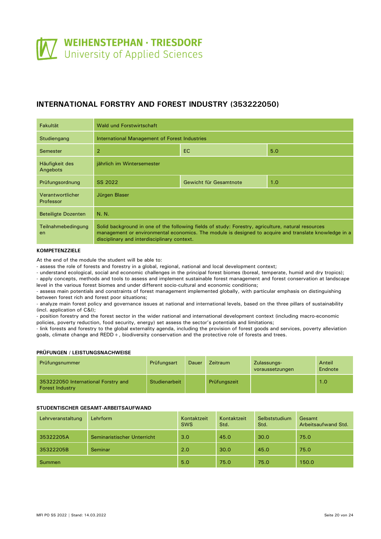# <span id="page-19-0"></span>**INTERNATIONAL FORSTRY AND FOREST INDUSTRY (353222050)**

| <b>Fakultät</b>               | Wald und Forstwirtschaft                                                                                                                                                                                                                                   |                               |  |  |  |  |  |
|-------------------------------|------------------------------------------------------------------------------------------------------------------------------------------------------------------------------------------------------------------------------------------------------------|-------------------------------|--|--|--|--|--|
| Studiengang                   | International Management of Forest Industries                                                                                                                                                                                                              |                               |  |  |  |  |  |
| Semester                      | $\overline{2}$<br>EC.<br>5.0                                                                                                                                                                                                                               |                               |  |  |  |  |  |
| Häufigkeit des<br>Angebots    | jährlich im Wintersemester                                                                                                                                                                                                                                 |                               |  |  |  |  |  |
| Prüfungsordnung               | SS 2022                                                                                                                                                                                                                                                    | Gewicht für Gesamtnote<br>1.0 |  |  |  |  |  |
| Verantwortlicher<br>Professor | Jürgen Blaser                                                                                                                                                                                                                                              |                               |  |  |  |  |  |
| <b>Beteiligte Dozenten</b>    | N. N.                                                                                                                                                                                                                                                      |                               |  |  |  |  |  |
| Teilnahmebedingung<br>en      | Solid background in one of the following fields of study: Forestry, agriculture, natural resources<br>management or environmental economics. The module is designed to acquire and translate knowledge in a<br>disciplinary and interdisciplinary context. |                               |  |  |  |  |  |

# **KOMPETENZZIELE**

At the end of the module the student will be able to:

- assess the role of forests and forestry in a global, regional, national and local development context;

- understand ecological, social and economic challenges in the principal forest biomes (boreal, temperate, humid and dry tropics);

- apply concepts, methods and tools to assess and implement sustainable forest management and forest conservation at landscape level in the various forest biomes and under different socio-cultural and economic conditions;

- assess main potentials and constraints of forest management implemented globally, with particular emphasis on distinguishing between forest rich and forest poor situations;

- analyze main forest policy and governance issues at national and international levels, based on the three pillars of sustainability (incl. application of C&I);

- position forestry and the forest sector in the wider national and international development context (including macro-economic policies, poverty reduction, food security, energy) set assess the sector's potentials and limitations;

- link forests and forestry to the global externality agenda, including the provision of forest goods and services, poverty alleviation goals, climate change and REDD+, biodiversity conservation and the protective role of forests and trees.

#### **PRÜFUNGEN / LEISTUNGSNACHWEISE**

| Prüfungsnummer                                                | Prüfungsart   | Dauer | Zeitraum     | Zulassungs-<br>voraussetzungen | Anteil<br>Endnote |
|---------------------------------------------------------------|---------------|-------|--------------|--------------------------------|-------------------|
| 353222050 International Forstry and<br><b>Forest Industry</b> | Studienarbeit |       | Prüfungszeit |                                | 1.0               |

#### **STUDENTISCHER GESAMT-ARBEITSAUFWAND**

| Lehrveranstaltung | Lehrform                    | Kontaktzeit<br><b>SWS</b> | Kontaktzeit<br>Std. | Selbststudium<br>Std. | Gesamt<br>Arbeitsaufwand Std. |
|-------------------|-----------------------------|---------------------------|---------------------|-----------------------|-------------------------------|
| 35322205A         | Seminaristischer Unterricht | 3.0                       | 45.0                | 30.0                  | 75.0                          |
| 35322205B         | Seminar                     | 2.0                       | 30.0                | 45.0                  | 75.0                          |
| <b>Summen</b>     |                             | 5.0                       | 75.0                | 75.0                  | 150.0                         |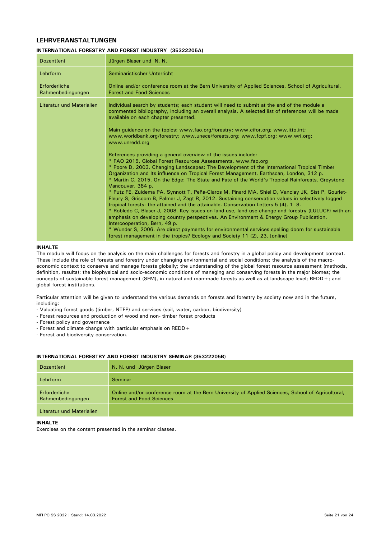# **LEHRVERANSTALTUNGEN**

#### **INTERNATIONAL FORESTRY AND FOREST INDUSTRY (35322205A)**

| Dozent(en)                         | Jürgen Blaser und N. N.                                                                                                                                                                                                                                                                                                                                                                                                                                                                                                                                                                                                                                                                                                                                                                                                                                                                                                                                                                                                                                                                                                                                                                                                                                                                                                                                                                                                                                                                                                                                                                                   |
|------------------------------------|-----------------------------------------------------------------------------------------------------------------------------------------------------------------------------------------------------------------------------------------------------------------------------------------------------------------------------------------------------------------------------------------------------------------------------------------------------------------------------------------------------------------------------------------------------------------------------------------------------------------------------------------------------------------------------------------------------------------------------------------------------------------------------------------------------------------------------------------------------------------------------------------------------------------------------------------------------------------------------------------------------------------------------------------------------------------------------------------------------------------------------------------------------------------------------------------------------------------------------------------------------------------------------------------------------------------------------------------------------------------------------------------------------------------------------------------------------------------------------------------------------------------------------------------------------------------------------------------------------------|
| Lehrform                           | Seminaristischer Unterricht                                                                                                                                                                                                                                                                                                                                                                                                                                                                                                                                                                                                                                                                                                                                                                                                                                                                                                                                                                                                                                                                                                                                                                                                                                                                                                                                                                                                                                                                                                                                                                               |
| Erforderliche<br>Rahmenbedingungen | Online and/or conference room at the Bern University of Applied Sciences, School of Agricultural,<br><b>Forest and Food Sciences</b>                                                                                                                                                                                                                                                                                                                                                                                                                                                                                                                                                                                                                                                                                                                                                                                                                                                                                                                                                                                                                                                                                                                                                                                                                                                                                                                                                                                                                                                                      |
| Literatur und Materialien          | Individual search by students; each student will need to submit at the end of the module a<br>commented bibliography, including an overall analysis. A selected list of references will be made<br>available on each chapter presented.<br>Main guidance on the topics: www.fao.org/forestry; www.cifor.org; www.itto.int;<br>www.worldbank.org/forestry; www.unece/forests.org; www.fcpf.org; www.wri.org;<br>www.unredd.org<br>References providing a general overview of the issues include:<br>* FAO 2015, Global Forest Resources Assessments. www.fao.org<br>* Poore D, 2003. Changing Landscapes: The Development of the International Tropical Timber<br>Organization and Its influence on Tropical Forest Management. Earthscan, London, 312 p.<br>* Martin C, 2015. On the Edge: The State and Fate of the World's Tropical Rainforests. Greystone<br>Vancouver, 384 p.<br>* Putz FE, Zuidema PA, Synnott T, Peña-Claros M, Pinard MA, Shiel D, Vanclay JK, Sist P, Gourlet-<br>Fleury S, Griscom B, Palmer J, Zagt R, 2012. Sustaining conservation values in selectively logged<br>tropical forests: the attained and the attainable. Conservation Letters $5(4)$ , $1-8$ .<br>* Robledo C, Blaser J, 2008. Key issues on land use, land use change and forestry (LULUCF) with an<br>emphasis on developing country perspectives. An Environment & Energy Group Publication.<br>Intercooperation, Bern, 49 p.<br>* Wunder S, 2006. Are direct payments for environmental services spelling doom for sustainable<br>forest management in the tropics? Ecology and Society 11 (2), 23. [online] |

#### **INHALTE**

The module will focus on the analysis on the main challenges for forests and forestry in a global policy and development context. These include the role of forests and forestry under changing environmental and social conditions; the analysis of the macroeconomic context to conserve and manage forests globally; the understanding of the global forest resource assessment (methods, definition, results); the biophysical and socio-economic conditions of managing and conserving forests in the major biomes; the concepts of sustainable forest management (SFM), in natural and man-made forests as well as at landscape level; REDD+; and global forest institutions.

Particular attention will be given to understand the various demands on forests and forestry by society now and in the future, including:

- Valuating forest goods (timber, NTFP) and services (soil, water, carbon, biodiversity)
- Forest resources and production of wood and non- timber forest products
- Forest policy and governance
- Forest and climate change with particular emphasis on REDD+
- Forest and biodiversity conservation.

### **INTERNATIONAL FORESTRY AND FOREST INDUSTRY SEMINAR (35322205B)**

| Dozent(en)                         | N. N. und Jürgen Blaser                                                                                                              |
|------------------------------------|--------------------------------------------------------------------------------------------------------------------------------------|
| Lehrform                           | Seminar                                                                                                                              |
| Erforderliche<br>Rahmenbedingungen | Online and/or conference room at the Bern University of Applied Sciences, School of Agricultural,<br><b>Forest and Food Sciences</b> |
| Literatur und Materialien          |                                                                                                                                      |

#### **INHALTE**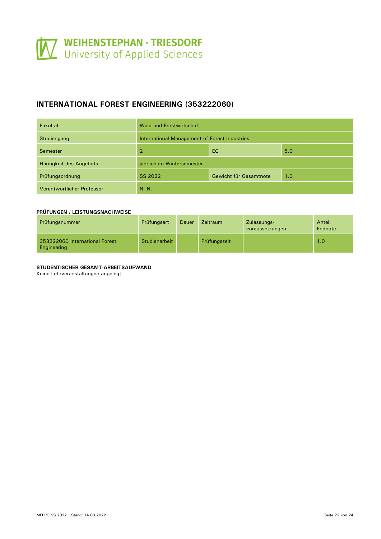# <span id="page-21-0"></span>**INTERNATIONAL FOREST ENGINEERING (353222060)**

| Fakultät                   | <b>Wald und Forstwirtschaft</b>               |                        |     |  |
|----------------------------|-----------------------------------------------|------------------------|-----|--|
| Studiengang                | International Management of Forest Industries |                        |     |  |
| Semester                   | 2                                             | EC                     | 5.0 |  |
| Häufigkeit des Angebots    | jährlich im Wintersemester                    |                        |     |  |
| Prüfungsordnung            | SS 2022                                       | Gewicht für Gesamtnote | 1.0 |  |
| Verantwortlicher Professor | N. N.                                         |                        |     |  |

#### **PRÜFUNGEN / LEISTUNGSNACHWEISE**

| Prüfungsnummer                                | Prüfungsart   | Dauer | <b>Zeitraum</b> | Zulassungs-<br>voraussetzungen | Anteil<br>Endnote |
|-----------------------------------------------|---------------|-------|-----------------|--------------------------------|-------------------|
| 353222060 International Forest<br>Engineering | Studienarbeit |       | Prüfungszeit    |                                | 1.0               |

### **STUDENTISCHER GESAMT-ARBEITSAUFWAND**

Keine Lehrveranstaltungen angelegt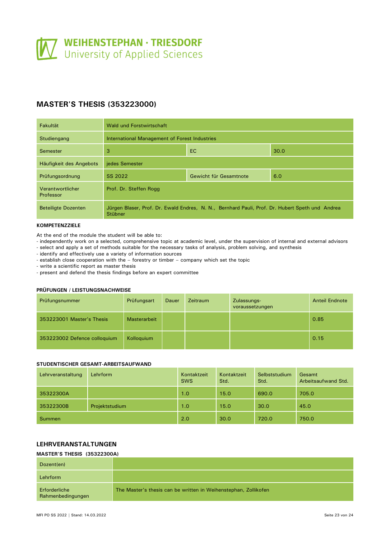# <span id="page-22-0"></span>**MASTER'S THESIS (353223000)**

| <b>Fakultät</b>               | Wald und Forstwirtschaft                                                                                   |                        |     |
|-------------------------------|------------------------------------------------------------------------------------------------------------|------------------------|-----|
| Studiengang                   | International Management of Forest Industries                                                              |                        |     |
| Semester                      | 3<br>EC.<br>30.0                                                                                           |                        |     |
| Häufigkeit des Angebots       | jedes Semester                                                                                             |                        |     |
| Prüfungsordnung               | SS 2022                                                                                                    | Gewicht für Gesamtnote | 6.0 |
| Verantwortlicher<br>Professor | Prof. Dr. Steffen Rogg                                                                                     |                        |     |
| <b>Beteiligte Dozenten</b>    | Jürgen Blaser, Prof. Dr. Ewald Endres, N. N., Bernhard Pauli, Prof. Dr. Hubert Speth und Andrea<br>Stübner |                        |     |

#### **KOMPETENZZIELE**

At the end of the module the student will be able to:

- independently work on a selected, comprehensive topic at academic level, under the supervision of internal and external advisors - select and apply a set of methods suitable for the necessary tasks of analysis, problem solving, and synthesis

- identify and effectively use a variety of information sources

- establish close cooperation with the – forestry or timber – company which set the topic

- write a scientific report as master thesis

- present and defend the thesis findings before an expert committee

#### **PRÜFUNGEN / LEISTUNGSNACHWEISE**

| Prüfungsnummer               | Prüfungsart         | Dauer | Zeitraum | Zulassungs-<br>voraussetzungen | <b>Anteil Endnote</b> |
|------------------------------|---------------------|-------|----------|--------------------------------|-----------------------|
| 353223001 Master's Thesis    | <b>Masterarbeit</b> |       |          |                                | 0.85                  |
| 353223002 Defence colloquium | Kolloquium          |       |          |                                | 0.15                  |

#### **STUDENTISCHER GESAMT-ARBEITSAUFWAND**

| Lehrveranstaltung | Lehrform       | Kontaktzeit<br><b>SWS</b> | Kontaktzeit<br>Std. | Selbststudium<br>Std. | Gesamt<br>Arbeitsaufwand Std. |
|-------------------|----------------|---------------------------|---------------------|-----------------------|-------------------------------|
| 35322300A         |                | 1.0                       | 15.0                | 690.0                 | 705.0                         |
| 35322300B         | Projektstudium | 1.0                       | 15.0                | 30.0                  | 45.0                          |
| <b>Summen</b>     |                | 2.0                       | 30.0                | 720.0                 | 750.0                         |

# **LEHRVERANSTALTUNGEN**

# **MASTER'S THESIS (35322300A)**

| Dozent(en)                         |                                                                 |
|------------------------------------|-----------------------------------------------------------------|
| Lehrform                           |                                                                 |
| Erforderliche<br>Rahmenbedingungen | The Master's thesis can be written in Weihenstephan, Zollikofen |